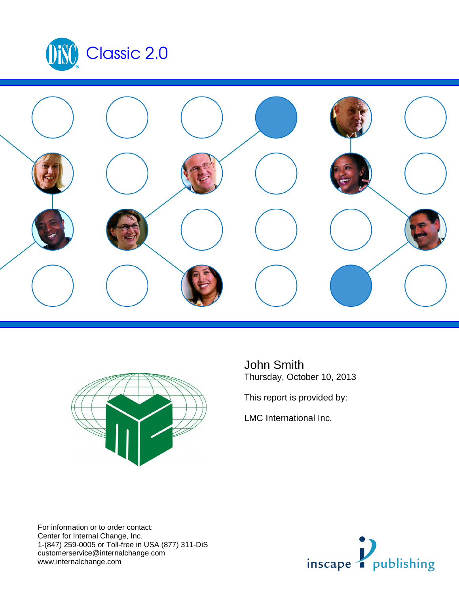





John Smith Thursday, October 10, 2013

This report is provided by:

LMC International Inc.

For information or to order contact: Center for Internal Change, Inc. 1-(847) 259-0005 or Toll-free in USA (877) 311-DiS customerservice@internalchange.com www.internalchange.com

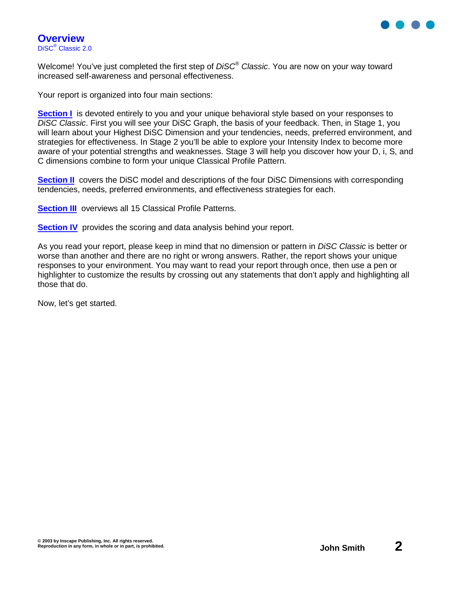

Welcome! You've just completed the first step of DiSC<sup>®</sup> Classic. You are now on your way toward increased self-awareness and personal effectiveness.

Your report is organized into four main sections:

**Section I** is devoted entirely to you and your unique behavioral style based on your responses to DiSC Classic. First you will see your DiSC Graph, the basis of your feedback. Then, in Stage 1, you will learn about your Highest DiSC Dimension and your tendencies, needs, preferred environment, and strategies for effectiveness. In Stage 2 you'll be able to explore your Intensity Index to become more aware of your potential strengths and weaknesses. Stage 3 will help you discover how your D, i, S, and C dimensions combine to form your unique Classical Profile Pattern.

**Section II** covers the DiSC model and descriptions of the four DiSC Dimensions with corresponding tendencies, needs, preferred environments, and effectiveness strategies for each.

**Section III** overviews all 15 Classical Profile Patterns.

**Section IV** provides the scoring and data analysis behind your report.

As you read your report, please keep in mind that no dimension or pattern in DISC Classic is better or worse than another and there are no right or wrong answers. Rather, the report shows your unique responses to your environment. You may want to read your report through once, then use a pen or highlighter to customize the results by crossing out any statements that don't apply and highlighting all those that do.

Now, let's get started.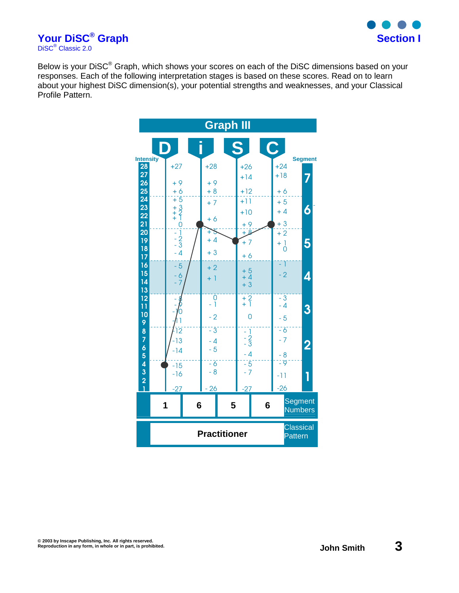

**Your DiSC® Graph Section I** DiSC<sup>®</sup> Classic 2.0

Below is your DiSC<sup>®</sup> Graph, which shows your scores on each of the DiSC dimensions based on your responses. Each of the following interpretation stages is based on these scores. Read on to learn about your highest DiSC dimension(s), your potential strengths and weaknesses, and your Classical Profile Pattern.

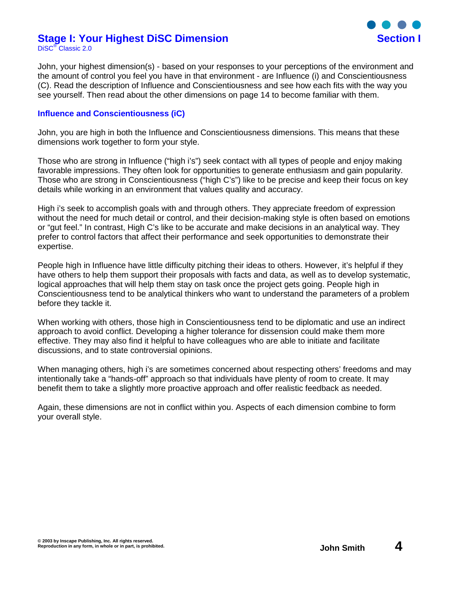#### **Stage I: Your Highest DiSC Dimension Section I** DiSC® Classic 2.0



John, your highest dimension(s) - based on your responses to your perceptions of the environment and the amount of control you feel you have in that environment - are Influence (i) and Conscientiousness (C). Read the description of Influence and Conscientiousness and see how each fits with the way you see yourself. Then read about the other dimensions on page 14 to become familiar with them.

#### **Influence and Conscientiousness (iC)**

John, you are high in both the Influence and Conscientiousness dimensions. This means that these dimensions work together to form your style.

Those who are strong in Influence ("high i's") seek contact with all types of people and enjoy making favorable impressions. They often look for opportunities to generate enthusiasm and gain popularity. Those who are strong in Conscientiousness ("high C's") like to be precise and keep their focus on key details while working in an environment that values quality and accuracy.

High i's seek to accomplish goals with and through others. They appreciate freedom of expression without the need for much detail or control, and their decision-making style is often based on emotions or "gut feel." In contrast, High C's like to be accurate and make decisions in an analytical way. They prefer to control factors that affect their performance and seek opportunities to demonstrate their expertise.

People high in Influence have little difficulty pitching their ideas to others. However, it's helpful if they have others to help them support their proposals with facts and data, as well as to develop systematic, logical approaches that will help them stay on task once the project gets going. People high in Conscientiousness tend to be analytical thinkers who want to understand the parameters of a problem before they tackle it.

When working with others, those high in Conscientiousness tend to be diplomatic and use an indirect approach to avoid conflict. Developing a higher tolerance for dissension could make them more effective. They may also find it helpful to have colleagues who are able to initiate and facilitate discussions, and to state controversial opinions.

When managing others, high i's are sometimes concerned about respecting others' freedoms and may intentionally take a "hands-off" approach so that individuals have plenty of room to create. It may benefit them to take a slightly more proactive approach and offer realistic feedback as needed.

Again, these dimensions are not in conflict within you. Aspects of each dimension combine to form your overall style.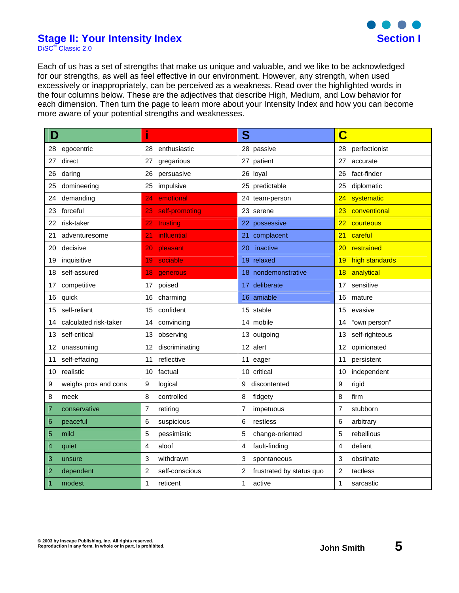

### **Stage II: Your Intensity Index Stage II: Your Intensity Index Section I**

DiSC<sup>®</sup> Classic 2.0

Each of us has a set of strengths that make us unique and valuable, and we like to be acknowledged for our strengths, as well as feel effective in our environment. However, any strength, when used excessively or inappropriately, can be perceived as a weakness. Read over the highlighted words in the four columns below. These are the adjectives that describe High, Medium, and Low behavior for each dimension. Then turn the page to learn more about your Intensity Index and how you can become more aware of your potential strengths and weaknesses.

| D                     | i                    | S                        | C                 |
|-----------------------|----------------------|--------------------------|-------------------|
| egocentric            | 28                   | 28 passive               | 28                |
| 28                    | enthusiastic         |                          | perfectionist     |
| 27                    | 27                   | 27 patient               | 27                |
| direct                | gregarious           |                          | accurate          |
| 26                    | persuasive           | 26 loyal                 | fact-finder       |
| daring                | 26                   |                          | 26                |
| domineering           | impulsive            | 25 predictable           | diplomatic        |
| 25                    | 25                   |                          | 25                |
| demanding             | emotional            | 24 team-person           | systematic        |
| 24                    | 24                   |                          | 24                |
| forceful              | 23                   | 23 serene                | conventional      |
| 23                    | self-promoting       |                          | 23                |
| risk-taker            | 22                   | 22 possessive            | courteous         |
| 22                    | trusting             |                          | 22                |
| 21                    | 21                   | complacent               | 21                |
| adventuresome         | <b>influential</b>   | 21 <sup>1</sup>          | careful           |
| 20                    | 20                   | 20                       | 20 <sub>2</sub>   |
| decisive              | pleasant             | inactive                 | restrained        |
| 19                    | sociable             | 19 relaxed               | high standards    |
| inquisitive           | 19                   |                          | 19                |
| self-assured          | 18                   | 18 nondemonstrative      | analytical        |
| 18                    | generous             |                          | 18                |
| competitive           | 17                   | 17 deliberate            | sensitive         |
| 17                    | poised               |                          | 17                |
| 16                    | 16                   | 16 amiable               | 16                |
| quick                 | charming             |                          | mature            |
| self-reliant          | confident            | 15 stable                | 15                |
| 15                    | 15                   |                          | evasive           |
| calculated risk-taker | convincing           | 14 mobile                | "own person"      |
| 14                    | 14                   |                          | 14                |
| self-critical<br>13   | 13<br>observing      | 13 outgoing              | 13 self-righteous |
| unassuming<br>12      | discriminating<br>12 | 12 alert                 | 12 opinionated    |
| self-effacing         | 11                   | 11 eager                 | persistent        |
| 11                    | reflective           |                          | 11                |
| 10                    | 10                   | 10 critical              | independent       |
| realistic             | factual              |                          | 10                |
| 9                     | 9                    | 9                        | 9                 |
| weighs pros and cons  | logical              | discontented             | rigid             |
| 8                     | controlled           | 8                        | 8                 |
| meek                  | 8                    | fidgety                  | firm              |
| 7                     | 7                    | 7                        | 7                 |
| conservative          | retiring             | impetuous                | stubborn          |
| peaceful              | 6                    | 6                        | 6                 |
| 6                     | suspicious           | restless                 | arbitrary         |
| 5                     | 5                    | 5                        | rebellious        |
| mild                  | pessimistic          | change-oriented          | 5                 |
| 4                     | 4                    | fault-finding            | defiant           |
| quiet                 | aloof                | 4                        | 4                 |
| 3                     | 3                    | 3                        | 3                 |
| unsure                | withdrawn            | spontaneous              | obstinate         |
| dependent             | $\overline{c}$       | 2                        | 2                 |
| 2                     | self-conscious       | frustrated by status quo | tactless          |
| 1                     | 1                    | 1                        | 1                 |
| modest                | reticent             | active                   | sarcastic         |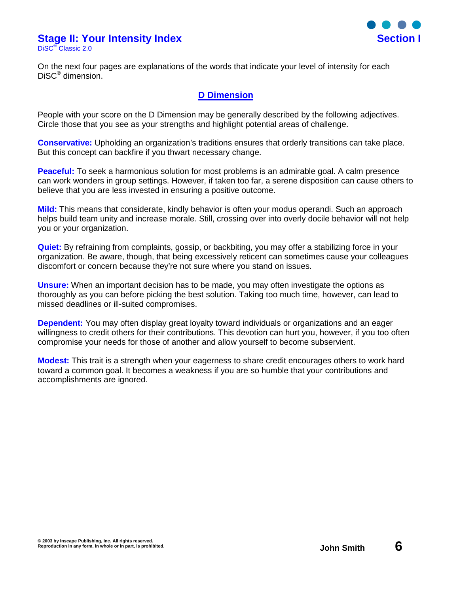# **Stage II: Your Intensity Index Section I**

DiSC® Classic 2.0



On the next four pages are explanations of the words that indicate your level of intensity for each DiSC® dimension.

### **D Dimension**

People with your score on the D Dimension may be generally described by the following adjectives. Circle those that you see as your strengths and highlight potential areas of challenge.

**Conservative:** Upholding an organization's traditions ensures that orderly transitions can take place. But this concept can backfire if you thwart necessary change.

**Peaceful:** To seek a harmonious solution for most problems is an admirable goal. A calm presence can work wonders in group settings. However, if taken too far, a serene disposition can cause others to believe that you are less invested in ensuring a positive outcome.

**Mild:** This means that considerate, kindly behavior is often your modus operandi. Such an approach helps build team unity and increase morale. Still, crossing over into overly docile behavior will not help you or your organization.

**Quiet:** By refraining from complaints, gossip, or backbiting, you may offer a stabilizing force in your organization. Be aware, though, that being excessively reticent can sometimes cause your colleagues discomfort or concern because they're not sure where you stand on issues.

**Unsure:** When an important decision has to be made, you may often investigate the options as thoroughly as you can before picking the best solution. Taking too much time, however, can lead to missed deadlines or ill-suited compromises.

**Dependent:** You may often display great loyalty toward individuals or organizations and an eager willingness to credit others for their contributions. This devotion can hurt you, however, if you too often compromise your needs for those of another and allow yourself to become subservient.

**Modest:** This trait is a strength when your eagerness to share credit encourages others to work hard toward a common goal. It becomes a weakness if you are so humble that your contributions and accomplishments are ignored.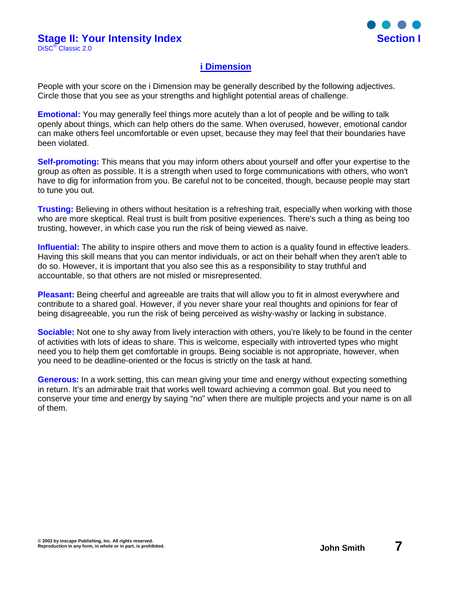

### **i Dimension**

People with your score on the i Dimension may be generally described by the following adjectives. Circle those that you see as your strengths and highlight potential areas of challenge.

**Emotional:** You may generally feel things more acutely than a lot of people and be willing to talk openly about things, which can help others do the same. When overused, however, emotional candor can make others feel uncomfortable or even upset, because they may feel that their boundaries have been violated.

**Self-promoting:** This means that you may inform others about yourself and offer your expertise to the group as often as possible. It is a strength when used to forge communications with others, who won't have to dig for information from you. Be careful not to be conceited, though, because people may start to tune you out.

**Trusting:** Believing in others without hesitation is a refreshing trait, especially when working with those who are more skeptical. Real trust is built from positive experiences. There's such a thing as being too trusting, however, in which case you run the risk of being viewed as naive.

**Influential:** The ability to inspire others and move them to action is a quality found in effective leaders. Having this skill means that you can mentor individuals, or act on their behalf when they aren't able to do so. However, it is important that you also see this as a responsibility to stay truthful and accountable, so that others are not misled or misrepresented.

**Pleasant:** Being cheerful and agreeable are traits that will allow you to fit in almost everywhere and contribute to a shared goal. However, if you never share your real thoughts and opinions for fear of being disagreeable, you run the risk of being perceived as wishy-washy or lacking in substance.

**Sociable:** Not one to shy away from lively interaction with others, you're likely to be found in the center of activities with lots of ideas to share. This is welcome, especially with introverted types who might need you to help them get comfortable in groups. Being sociable is not appropriate, however, when you need to be deadline-oriented or the focus is strictly on the task at hand.

**Generous:** In a work setting, this can mean giving your time and energy without expecting something in return. It's an admirable trait that works well toward achieving a common goal. But you need to conserve your time and energy by saying "no" when there are multiple projects and your name is on all of them.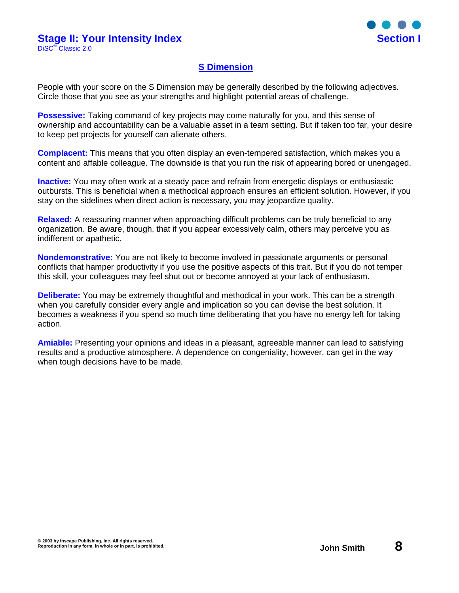

### **S Dimension**

People with your score on the S Dimension may be generally described by the following adjectives. Circle those that you see as your strengths and highlight potential areas of challenge.

**Possessive:** Taking command of key projects may come naturally for you, and this sense of ownership and accountability can be a valuable asset in a team setting. But if taken too far, your desire to keep pet projects for yourself can alienate others.

**Complacent:** This means that you often display an even-tempered satisfaction, which makes you a content and affable colleague. The downside is that you run the risk of appearing bored or unengaged.

**Inactive:** You may often work at a steady pace and refrain from energetic displays or enthusiastic outbursts. This is beneficial when a methodical approach ensures an efficient solution. However, if you stay on the sidelines when direct action is necessary, you may jeopardize quality.

**Relaxed:** A reassuring manner when approaching difficult problems can be truly beneficial to any organization. Be aware, though, that if you appear excessively calm, others may perceive you as indifferent or apathetic.

**Nondemonstrative:** You are not likely to become involved in passionate arguments or personal conflicts that hamper productivity if you use the positive aspects of this trait. But if you do not temper this skill, your colleagues may feel shut out or become annoyed at your lack of enthusiasm.

**Deliberate:** You may be extremely thoughtful and methodical in your work. This can be a strength when you carefully consider every angle and implication so you can devise the best solution. It becomes a weakness if you spend so much time deliberating that you have no energy left for taking action.

**Amiable:** Presenting your opinions and ideas in a pleasant, agreeable manner can lead to satisfying results and a productive atmosphere. A dependence on congeniality, however, can get in the way when tough decisions have to be made.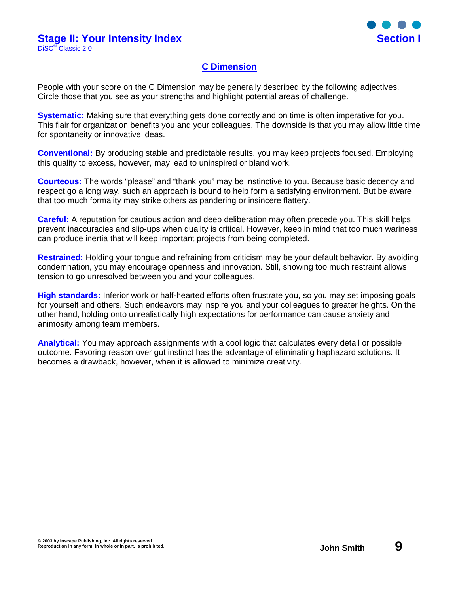

### **C Dimension**

People with your score on the C Dimension may be generally described by the following adjectives. Circle those that you see as your strengths and highlight potential areas of challenge.

**Systematic:** Making sure that everything gets done correctly and on time is often imperative for you. This flair for organization benefits you and your colleagues. The downside is that you may allow little time for spontaneity or innovative ideas.

**Conventional:** By producing stable and predictable results, you may keep projects focused. Employing this quality to excess, however, may lead to uninspired or bland work.

**Courteous:** The words "please" and "thank you" may be instinctive to you. Because basic decency and respect go a long way, such an approach is bound to help form a satisfying environment. But be aware that too much formality may strike others as pandering or insincere flattery.

**Careful:** A reputation for cautious action and deep deliberation may often precede you. This skill helps prevent inaccuracies and slip-ups when quality is critical. However, keep in mind that too much wariness can produce inertia that will keep important projects from being completed.

**Restrained:** Holding your tongue and refraining from criticism may be your default behavior. By avoiding condemnation, you may encourage openness and innovation. Still, showing too much restraint allows tension to go unresolved between you and your colleagues.

**High standards:** Inferior work or half-hearted efforts often frustrate you, so you may set imposing goals for yourself and others. Such endeavors may inspire you and your colleagues to greater heights. On the other hand, holding onto unrealistically high expectations for performance can cause anxiety and animosity among team members.

**Analytical:** You may approach assignments with a cool logic that calculates every detail or possible outcome. Favoring reason over gut instinct has the advantage of eliminating haphazard solutions. It becomes a drawback, however, when it is allowed to minimize creativity.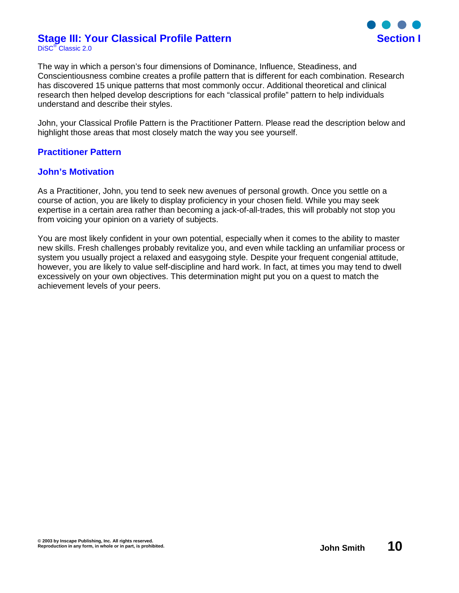#### **Stage III: Your Classical Profile Pattern Section I** DiSC® Classic 2.0



The way in which a person's four dimensions of Dominance, Influence, Steadiness, and Conscientiousness combine creates a profile pattern that is different for each combination. Research has discovered 15 unique patterns that most commonly occur. Additional theoretical and clinical research then helped develop descriptions for each "classical profile" pattern to help individuals understand and describe their styles.

John, your Classical Profile Pattern is the Practitioner Pattern. Please read the description below and highlight those areas that most closely match the way you see yourself.

### **Practitioner Pattern**

### **John's Motivation**

As a Practitioner, John, you tend to seek new avenues of personal growth. Once you settle on a course of action, you are likely to display proficiency in your chosen field. While you may seek expertise in a certain area rather than becoming a jack-of-all-trades, this will probably not stop you from voicing your opinion on a variety of subjects.

You are most likely confident in your own potential, especially when it comes to the ability to master new skills. Fresh challenges probably revitalize you, and even while tackling an unfamiliar process or system you usually project a relaxed and easygoing style. Despite your frequent congenial attitude, however, you are likely to value self-discipline and hard work. In fact, at times you may tend to dwell excessively on your own objectives. This determination might put you on a quest to match the achievement levels of your peers.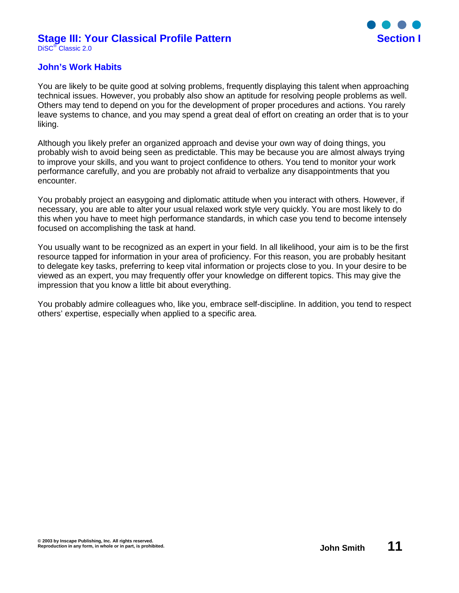#### **Stage III: Your Classical Profile Pattern Section I** DiSC® Classic 2.0



### **John's Work Habits**

You are likely to be quite good at solving problems, frequently displaying this talent when approaching technical issues. However, you probably also show an aptitude for resolving people problems as well. Others may tend to depend on you for the development of proper procedures and actions. You rarely leave systems to chance, and you may spend a great deal of effort on creating an order that is to your liking.

Although you likely prefer an organized approach and devise your own way of doing things, you probably wish to avoid being seen as predictable. This may be because you are almost always trying to improve your skills, and you want to project confidence to others. You tend to monitor your work performance carefully, and you are probably not afraid to verbalize any disappointments that you encounter.

You probably project an easygoing and diplomatic attitude when you interact with others. However, if necessary, you are able to alter your usual relaxed work style very quickly. You are most likely to do this when you have to meet high performance standards, in which case you tend to become intensely focused on accomplishing the task at hand.

You usually want to be recognized as an expert in your field. In all likelihood, your aim is to be the first resource tapped for information in your area of proficiency. For this reason, you are probably hesitant to delegate key tasks, preferring to keep vital information or projects close to you. In your desire to be viewed as an expert, you may frequently offer your knowledge on different topics. This may give the impression that you know a little bit about everything.

You probably admire colleagues who, like you, embrace self-discipline. In addition, you tend to respect others' expertise, especially when applied to a specific area.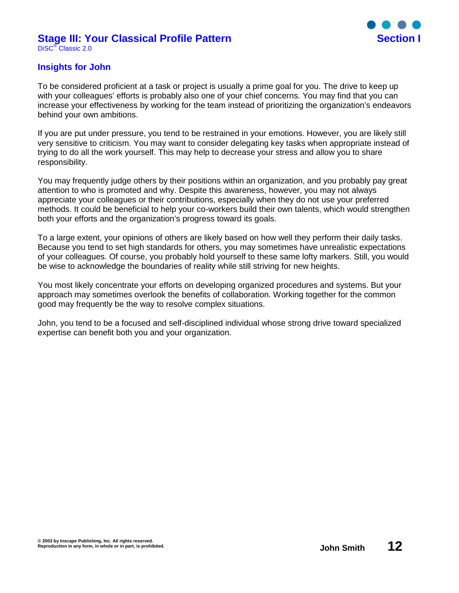#### **Stage III: Your Classical Profile Pattern Section I** DiSC® Classic 2.0



### **Insights for John**

To be considered proficient at a task or project is usually a prime goal for you. The drive to keep up with your colleagues' efforts is probably also one of your chief concerns. You may find that you can increase your effectiveness by working for the team instead of prioritizing the organization's endeavors behind your own ambitions.

If you are put under pressure, you tend to be restrained in your emotions. However, you are likely still very sensitive to criticism. You may want to consider delegating key tasks when appropriate instead of trying to do all the work yourself. This may help to decrease your stress and allow you to share responsibility.

You may frequently judge others by their positions within an organization, and you probably pay great attention to who is promoted and why. Despite this awareness, however, you may not always appreciate your colleagues or their contributions, especially when they do not use your preferred methods. It could be beneficial to help your co-workers build their own talents, which would strengthen both your efforts and the organization's progress toward its goals.

To a large extent, your opinions of others are likely based on how well they perform their daily tasks. Because you tend to set high standards for others, you may sometimes have unrealistic expectations of your colleagues. Of course, you probably hold yourself to these same lofty markers. Still, you would be wise to acknowledge the boundaries of reality while still striving for new heights.

You most likely concentrate your efforts on developing organized procedures and systems. But your approach may sometimes overlook the benefits of collaboration. Working together for the common good may frequently be the way to resolve complex situations.

John, you tend to be a focused and self-disciplined individual whose strong drive toward specialized expertise can benefit both you and your organization.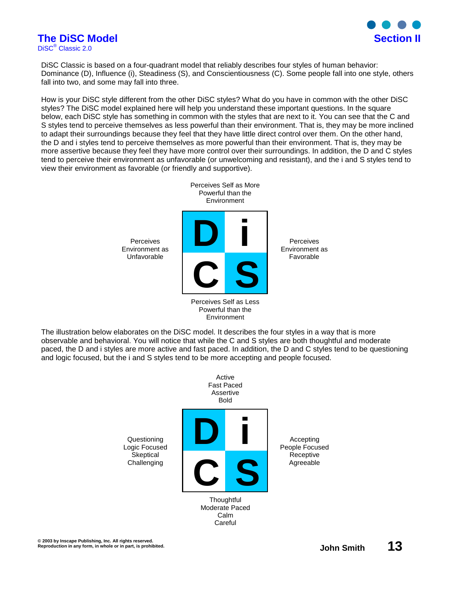

# **The DiSC Model Section II**

DiSC® Classic 2.0

DiSC Classic is based on a four-quadrant model that reliably describes four styles of human behavior: Dominance (D), Influence (i), Steadiness (S), and Conscientiousness (C). Some people fall into one style, others fall into two, and some may fall into three.

How is your DiSC style different from the other DiSC styles? What do you have in common with the other DiSC styles? The DiSC model explained here will help you understand these important questions. In the square below, each DiSC style has something in common with the styles that are next to it. You can see that the C and S styles tend to perceive themselves as less powerful than their environment. That is, they may be more inclined to adapt their surroundings because they feel that they have little direct control over them. On the other hand, the D and i styles tend to perceive themselves as more powerful than their environment. That is, they may be more assertive because they feel they have more control over their surroundings. In addition, the D and C styles tend to perceive their environment as unfavorable (or unwelcoming and resistant), and the i and S styles tend to view their environment as favorable (or friendly and supportive).



Powerful than the Environment

The illustration below elaborates on the DiSC model. It describes the four styles in a way that is more observable and behavioral. You will notice that while the C and S styles are both thoughtful and moderate paced, the D and i styles are more active and fast paced. In addition, the D and C styles tend to be questioning and logic focused, but the i and S styles tend to be more accepting and people focused.

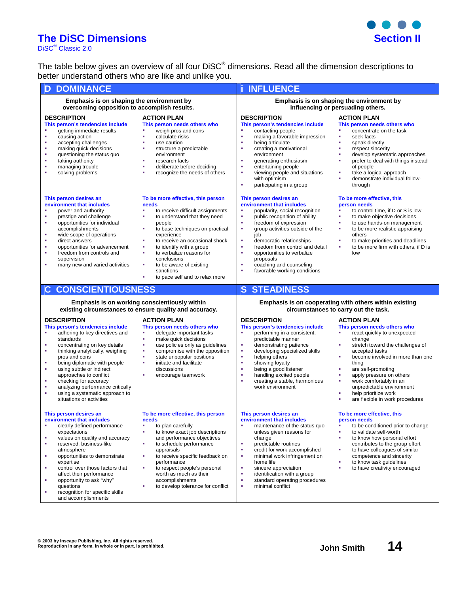# **The DiSC Dimensions Section II**

DiSC<sup>®</sup> Classic 2.0

The table below gives an overview of all four DiSC® dimensions. Read all the dimension descriptions to better understand others who are like and unlike you.

| <b>DOMINANCE</b><br>D                                                                                                                                                                                                                                                                                                                                   |                                                                                                                                                                                                                                                                                                                                                                                                        | <b>INFLUENCE</b>                                                                                                                                                                                                                                                                                                                                                                                           |                                                                                                                                                                                                                                                                                                                                      |  |
|---------------------------------------------------------------------------------------------------------------------------------------------------------------------------------------------------------------------------------------------------------------------------------------------------------------------------------------------------------|--------------------------------------------------------------------------------------------------------------------------------------------------------------------------------------------------------------------------------------------------------------------------------------------------------------------------------------------------------------------------------------------------------|------------------------------------------------------------------------------------------------------------------------------------------------------------------------------------------------------------------------------------------------------------------------------------------------------------------------------------------------------------------------------------------------------------|--------------------------------------------------------------------------------------------------------------------------------------------------------------------------------------------------------------------------------------------------------------------------------------------------------------------------------------|--|
| Emphasis is on shaping the environment by<br>overcoming opposition to accomplish results.                                                                                                                                                                                                                                                               |                                                                                                                                                                                                                                                                                                                                                                                                        | Emphasis is on shaping the environment by<br>influencing or persuading others.                                                                                                                                                                                                                                                                                                                             |                                                                                                                                                                                                                                                                                                                                      |  |
| <b>DESCRIPTION</b><br>This person's tendencies include<br>getting immediate results<br>٠<br>causing action<br>accepting challenges<br>٠<br>making quick decisions<br>×<br>×<br>questioning the status quo<br>taking authority<br>×<br>managing trouble<br>×<br>solving problems<br>٠                                                                    | <b>ACTION PLAN</b><br>This person needs others who<br>weigh pros and cons<br>à,<br>calculate risks<br>×,<br>٠<br>use caution<br>à,<br>structure a predictable<br>environment<br>research facts<br>٠<br>ä,<br>deliberate before deciding<br>à,<br>recognize the needs of others                                                                                                                         | <b>DESCRIPTION</b><br>This person's tendencies include<br>contacting people<br>×,<br>ä<br>making a favorable impression<br>being articulate<br>٠<br>ä,<br>creating a motivational<br>environment<br>generating enthusiasm<br>٠<br>×<br>entertaining people<br>ä<br>viewing people and situations<br>with optimism<br>participating in a group<br>à,                                                        | <b>ACTION PLAN</b><br>This person needs others who<br>concentrate on the task<br>à,<br>seek facts<br>à,<br>speak directly<br>à,<br>respect sincerity<br>ä<br>develop systematic approaches<br>prefer to deal with things instead<br>×<br>of people<br>take a logical approach<br>٠<br>demonstrate individual follow-<br>٠<br>through |  |
| This person desires an<br>environment that includes<br>power and authority<br>×<br>prestige and challenge<br>opportunities for individual<br>٠<br>accomplishments<br>×<br>wide scope of operations<br>٠<br>direct answers<br>opportunities for advancement<br>×<br>freedom from controls and<br>×<br>supervision<br>many new and varied activities<br>× | To be more effective, this person<br>needs<br>to receive difficult assignments<br>×,<br>to understand that they need<br>à,<br>people<br>to base techniques on practical<br>×,<br>experience<br>to receive an occasional shock<br>×,<br>à,<br>to identify with a group<br>to verbalize reasons for<br>à,<br>conclusions<br>to be aware of existing<br>×,<br>sanctions<br>to pace self and to relax more | This person desires an<br>environment that includes<br>popularity, social recognition<br>à,<br>public recognition of ability<br>×<br>freedom of expression<br>ä<br>group activities outside of the<br>job<br>à,<br>democratic relationships<br>ä<br>freedom from control and detail<br>٠<br>opportunities to verbalize<br>proposals<br>coaching and counseling<br>×,<br>à,<br>favorable working conditions | To be more effective, this<br>person needs<br>to control time, if D or S is low<br>à,<br>to make objective decisions<br>to use hands-on management<br>à,<br>ä,<br>to be more realistic appraising<br>others<br>to make priorities and deadlines<br>٠<br>to be more firm with others, if D is<br>à,<br>low                            |  |
| <b>CONSCIENTIOUSNESS</b><br>$\mathbf C$                                                                                                                                                                                                                                                                                                                 |                                                                                                                                                                                                                                                                                                                                                                                                        | <b>STEADINESS</b><br>S                                                                                                                                                                                                                                                                                                                                                                                     |                                                                                                                                                                                                                                                                                                                                      |  |
| Emphasis is on working conscientiously within<br>existing circumstances to ensure quality and accuracy.                                                                                                                                                                                                                                                 |                                                                                                                                                                                                                                                                                                                                                                                                        | Emphasis is on cooperating with others within existing<br>circumstances to carry out the task.                                                                                                                                                                                                                                                                                                             |                                                                                                                                                                                                                                                                                                                                      |  |
| <b>DESCRIPTION</b><br>This person's tendencies include<br>adhering to key directives and<br>٠<br>standards<br>concentrating on key details<br>٠                                                                                                                                                                                                         | <b>ACTION PLAN</b><br>This person needs others who<br>delegate important tasks<br>٠<br>à,<br>make quick decisions                                                                                                                                                                                                                                                                                      | <b>DESCRIPTION</b><br>This person's tendencies include<br>performing in a consistent,<br>٥                                                                                                                                                                                                                                                                                                                 | <b>ACTION PLAN</b><br>This person needs others who<br>react quickly to unexpected<br>٠                                                                                                                                                                                                                                               |  |
| thinking analytically, weighing<br>×<br>pros and cons<br>being diplomatic with people<br>٠<br>using subtle or indirect<br>×<br>approaches to conflict<br>٠<br>checking for accuracy<br>analyzing performance critically<br>×<br>using a systematic approach to<br>×<br>situations or activities                                                         | use policies only as guidelines<br>×,<br>ä,<br>compromise with the opposition<br>à,<br>state unpopular positions<br>initiate and facilitate<br>×,<br>discussions<br>×,<br>encourage teamwork                                                                                                                                                                                                           | predictable manner<br>×,<br>demonstrating patience<br>à,<br>developing specialized skills<br>ä<br>helping others<br>à,<br>showing loyalty<br>being a good listener<br>à,<br>handling excited people<br>×<br>creating a stable, harmonious<br>×<br>work environment                                                                                                                                         | change<br>٠<br>stretch toward the challenges of<br>accepted tasks<br>become involved in more than one<br>×<br>thing<br>×,<br>are self-promoting<br>à,<br>apply pressure on others<br>work comfortably in an<br>٠<br>unpredictable environment<br>help prioritize work<br>٠<br>are flexible in work procedures<br>×                   |  |

 $\bullet$   $\bullet$   $\bullet$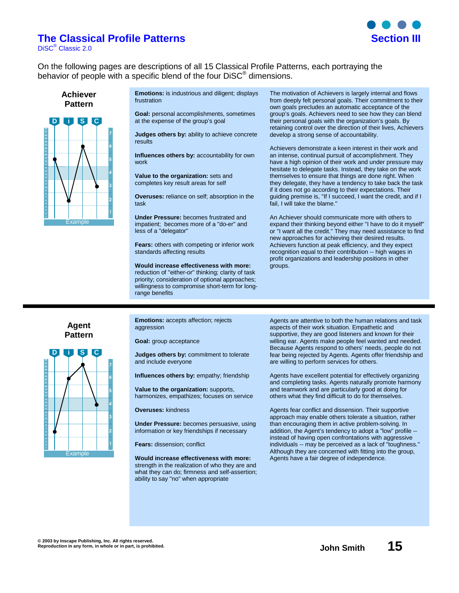### **The Classical Profile Patterns is a section of the Classical Profile Patterns**

DiSC® Classic 2.0



On the following pages are descriptions of all 15 Classical Profile Patterns, each portraying the behavior of people with a specific blend of the four DiSC<sup>®</sup> dimensions.

**Achiever Pattern**



**Emotions:** is industrious and diligent; displays frustration

**Goal:** personal accomplishments, sometimes at the expense of the group's goal

**Judges others by:** ability to achieve concrete results

**Influences others by:** accountability for own work

**Value to the organization:** sets and completes key result areas for self

**Overuses:** reliance on self; absorption in the task

**Under Pressure:** becomes frustrated and impatient; becomes more of a "do-er" and less of a "delegator"

**Fears:** others with competing or inferior work standards affecting results

**Would increase effectiveness with more:** reduction of "either-or" thinking; clarity of task priority; consideration of optional approaches; willingness to compromise short-term for longrange benefits

The motivation of Achievers is largely internal and flows from deeply felt personal goals. Their commitment to their own goals precludes an automatic acceptance of the group's goals. Achievers need to see how they can blend their personal goals with the organization's goals. By retaining control over the direction of their lives, Achievers develop a strong sense of accountability.

Achievers demonstrate a keen interest in their work and an intense, continual pursuit of accomplishment. They have a high opinion of their work and under pressure may hesitate to delegate tasks. Instead, they take on the work themselves to ensure that things are done right. When they delegate, they have a tendency to take back the task if it does not go according to their expectations. Their guiding premise is, "If I succeed, I want the credit, and if I fail, I will take the blame."

An Achiever should communicate more with others to expand their thinking beyond either "I have to do it myself" or "I want all the credit." They may need assistance to find new approaches for achieving their desired results. Achievers function at peak efficiency, and they expect recognition equal to their contribution -- high wages in profit organizations and leadership positions in other groups.

**Agent Pattern**



**Emotions:** accepts affection; rejects aggression

**Goal:** group acceptance

**Judges others by:** commitment to tolerate and include everyone

**Influences others by:** empathy; friendship

**Value to the organization:** supports, harmonizes, empathizes; focuses on service

**Overuses:** kindness

**Under Pressure:** becomes persuasive, using information or key friendships if necessary

**Fears:** dissension; conflict

**Would increase effectiveness with more:** strength in the realization of who they are and what they can do; firmness and self-assertion; ability to say "no" when appropriate

Agents are attentive to both the human relations and task aspects of their work situation. Empathetic and supportive, they are good listeners and known for their willing ear. Agents make people feel wanted and needed. Because Agents respond to others' needs, people do not fear being rejected by Agents. Agents offer friendship and are willing to perform services for others.

Agents have excellent potential for effectively organizing and completing tasks. Agents naturally promote harmony and teamwork and are particularly good at doing for others what they find difficult to do for themselves.

Agents fear conflict and dissension. Their supportive approach may enable others tolerate a situation, rather than encouraging them in active problem-solving. In addition, the Agent's tendency to adopt a "low" profile - instead of having open confrontations with aggressive individuals -- may be perceived as a lack of "toughness." Although they are concerned with fitting into the group, Agents have a fair degree of independence.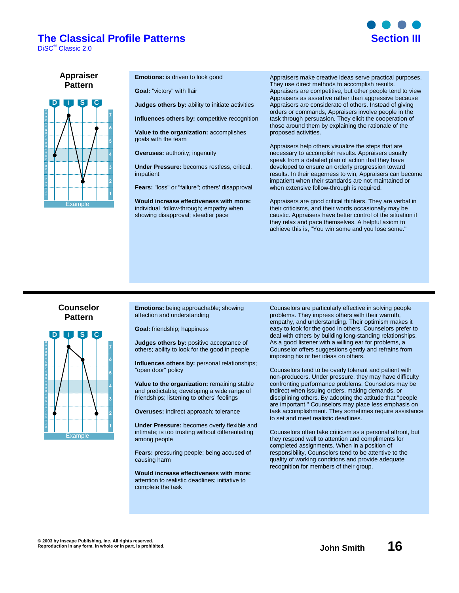### **The Classical Profile Patterns is a section of the Classical Profile Patterns**

DiSC® Classic 2.0



**Appraiser Pattern**



**Emotions:** is driven to look good

**Goal:** "victory" with flair

**Judges others by:** ability to initiate activities

**Influences others by: competitive recognition** 

**Value to the organization:** accomplishes goals with the team

**Overuses:** authority; ingenuity

**Under Pressure:** becomes restless, critical, impatient

**Fears:** "loss" or "failure"; others' disapproval

**Would increase effectiveness with more:** individual follow-through; empathy when showing disapproval; steadier pace

Appraisers make creative ideas serve practical purposes. They use direct methods to accomplish results. Appraisers are competitive, but other people tend to view Appraisers as assertive rather than aggressive because Appraisers are considerate of others. Instead of giving orders or commands, Appraisers involve people in the task through persuasion. They elicit the cooperation of those around them by explaining the rationale of the proposed activities.

Appraisers help others visualize the steps that are necessary to accomplish results. Appraisers usually speak from a detailed plan of action that they have developed to ensure an orderly progression toward results. In their eagerness to win, Appraisers can become impatient when their standards are not maintained or when extensive follow-through is required.

Appraisers are good critical thinkers. They are verbal in their criticisms, and their words occasionally may be caustic. Appraisers have better control of the situation if they relax and pace themselves. A helpful axiom to achieve this is, "You win some and you lose some."

#### **Counselor Pattern**



**Emotions:** being approachable; showing affection and understanding

**Goal:** friendship; happiness

**Judges others by:** positive acceptance of others; ability to look for the good in people

**Influences others by:** personal relationships; "open door" policy

**Value to the organization:** remaining stable and predictable; developing a wide range of friendships; listening to others' feelings

**Overuses:** indirect approach; tolerance

**Under Pressure:** becomes overly flexible and intimate; is too trusting without differentiating among people

**Fears:** pressuring people; being accused of causing harm

**Would increase effectiveness with more:** attention to realistic deadlines; initiative to complete the task

Counselors are particularly effective in solving people problems. They impress others with their warmth, empathy, and understanding. Their optimism makes it easy to look for the good in others. Counselors prefer to deal with others by building long-standing relationships. As a good listener with a willing ear for problems, a Counselor offers suggestions gently and refrains from imposing his or her ideas on others.

Counselors tend to be overly tolerant and patient with non-producers. Under pressure, they may have difficulty confronting performance problems. Counselors may be indirect when issuing orders, making demands, or disciplining others. By adopting the attitude that "people are important," Counselors may place less emphasis on task accomplishment. They sometimes require assistance to set and meet realistic deadlines.

Counselors often take criticism as a personal affront, but they respond well to attention and compliments for completed assignments. When in a position of responsibility, Counselors tend to be attentive to the quality of working conditions and provide adequate recognition for members of their group.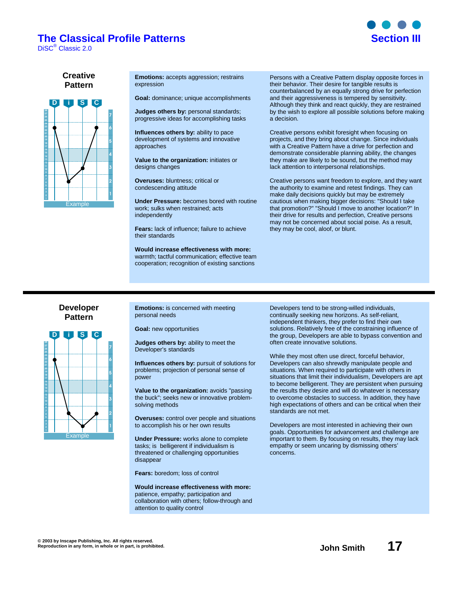### **The Classical Profile Patterns <b>Section III**

DiSC® Classic 2.0



#### **Creative Pattern**



**Emotions:** accepts aggression; restrains expression

**Goal:** dominance; unique accomplishments

**Judges others by:** personal standards; progressive ideas for accomplishing tasks

**Influences others by:** ability to pace development of systems and innovative approaches

**Value to the organization:** initiates or designs changes

**Overuses:** bluntness; critical or condescending attitude

**Under Pressure:** becomes bored with routine work; sulks when restrained; acts independently

**Fears:** lack of influence; failure to achieve their standards

**Would increase effectiveness with more:** warmth; tactful communication; effective team cooperation; recognition of existing sanctions

Persons with a Creative Pattern display opposite forces in their behavior. Their desire for tangible results is counterbalanced by an equally strong drive for perfection and their aggressiveness is tempered by sensitivity. Although they think and react quickly, they are restrained by the wish to explore all possible solutions before making a decision.

Creative persons exhibit foresight when focusing on projects, and they bring about change. Since individuals with a Creative Pattern have a drive for perfection and demonstrate considerable planning ability, the changes they make are likely to be sound, but the method may lack attention to interpersonal relationships.

Creative persons want freedom to explore, and they want the authority to examine and retest findings. They can make daily decisions quickly but may be extremely cautious when making bigger decisions: "Should I take that promotion?" "Should I move to another location?" In their drive for results and perfection, Creative persons may not be concerned about social poise. As a result, they may be cool, aloof, or blunt.

#### **Developer Pattern**



**Emotions:** is concerned with meeting personal needs

**Goal:** new opportunities

**Judges others by:** ability to meet the Developer's standards

**Influences others by:** pursuit of solutions for problems; projection of personal sense of power

**Value to the organization:** avoids "passing the buck"; seeks new or innovative problemsolving methods

**Overuses:** control over people and situations to accomplish his or her own results

**Under Pressure:** works alone to complete tasks; is belligerent if individualism is threatened or challenging opportunities disappear

**Fears:** boredom; loss of control

**Would increase effectiveness with more:** patience, empathy; participation and collaboration with others; follow-through and attention to quality control

Developers tend to be strong-willed individuals, continually seeking new horizons. As self-reliant, independent thinkers, they prefer to find their own solutions. Relatively free of the constraining influence of the group, Developers are able to bypass convention and often create innovative solutions.

While they most often use direct, forceful behavior, Developers can also shrewdly manipulate people and situations. When required to participate with others in situations that limit their individualism, Developers are apt to become belligerent. They are persistent when pursuing the results they desire and will do whatever is necessary to overcome obstacles to success. In addition, they have high expectations of others and can be critical when their standards are not met.

Developers are most interested in achieving their own goals. Opportunities for advancement and challenge are important to them. By focusing on results, they may lack empathy or seem uncaring by dismissing others' concerns.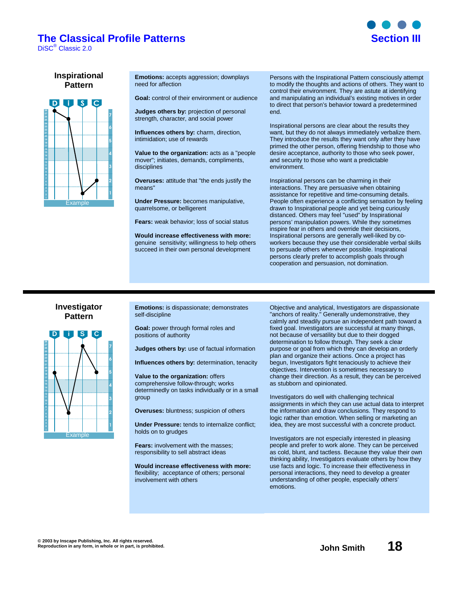### **The Classical Profile Patterns <b>Section III**

DiSC® Classic 2.0



#### **Inspirational Pattern**



**Emotions:** accepts aggression; downplays need for affection

**Goal:** control of their environment or audience

**Judges others by:** projection of personal

strength, character, and social power

**Influences others by:** charm, direction, intimidation; use of rewards

**Value to the organization:** acts as a "people mover"; initiates, demands, compliments, disciplines

**Overuses:** attitude that "the ends justify the means"

**Under Pressure:** becomes manipulative, quarrelsome, or belligerent

**Fears:** weak behavior; loss of social status

**Would increase effectiveness with more:** genuine sensitivity; willingness to help others succeed in their own personal development

Persons with the Inspirational Pattern consciously attempt to modify the thoughts and actions of others. They want to control their environment. They are astute at identifying and manipulating an individual's existing motives in order to direct that person's behavior toward a predetermined end.

Inspirational persons are clear about the results they want, but they do not always immediately verbalize them. They introduce the results they want only after they have primed the other person, offering friendship to those who desire acceptance, authority to those who seek power, and security to those who want a predictable environment.

Inspirational persons can be charming in their interactions. They are persuasive when obtaining assistance for repetitive and time-consuming details. People often experience a conflicting sensation by feeling drawn to Inspirational people and yet being curiously distanced. Others may feel "used" by Inspirational persons' manipulation powers. While they sometimes inspire fear in others and override their decisions, Inspirational persons are generally well-liked by coworkers because they use their considerable verbal skills to persuade others whenever possible. Inspirational persons clearly prefer to accomplish goals through cooperation and persuasion, not domination.

#### **Investigator Pattern**



**Emotions:** is dispassionate; demonstrates self-discipline

**Goal:** power through formal roles and positions of authority

**Judges others by:** use of factual information

**Influences others by:** determination, tenacity

**Value to the organization:** offers comprehensive follow-through; works determinedly on tasks individually or in a small group

**Overuses:** bluntness; suspicion of others

**Under Pressure:** tends to internalize conflict; holds on to grudges

**Fears:** involvement with the masses; responsibility to sell abstract ideas

**Would increase effectiveness with more:** flexibility; acceptance of others; personal involvement with others

Objective and analytical, Investigators are dispassionate "anchors of reality." Generally undemonstrative, they calmly and steadily pursue an independent path toward a fixed goal. Investigators are successful at many things, not because of versatility but due to their dogged determination to follow through. They seek a clear purpose or goal from which they can develop an orderly plan and organize their actions. Once a project has begun, Investigators fight tenaciously to achieve their objectives. Intervention is sometimes necessary to change their direction. As a result, they can be perceived as stubborn and opinionated.

Investigators do well with challenging technical assignments in which they can use actual data to interpret the information and draw conclusions. They respond to logic rather than emotion. When selling or marketing an idea, they are most successful with a concrete product.

Investigators are not especially interested in pleasing people and prefer to work alone. They can be perceived as cold, blunt, and tactless. Because they value their own thinking ability, Investigators evaluate others by how they use facts and logic. To increase their effectiveness in personal interactions, they need to develop a greater understanding of other people, especially others' emotions.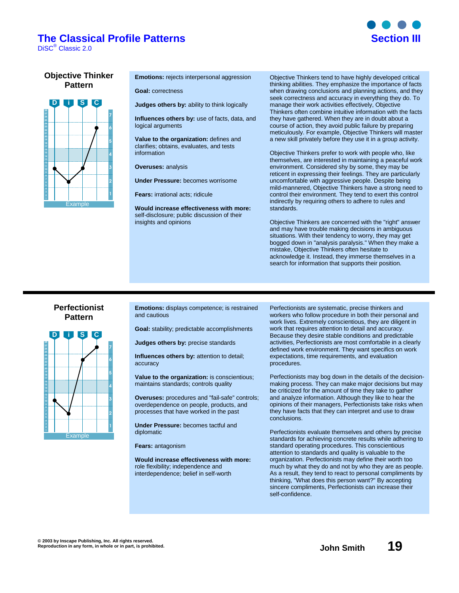### **The Classical Profile Patterns is a section of the Classical Profile Patterns**

DiSC® Classic 2.0



#### **Objective Thinker Pattern**



**Emotions:** rejects interpersonal aggression

**Goal:** correctness

**Judges others by:** ability to think logically

**Influences others by:** use of facts, data, and logical arguments

**Value to the organization:** defines and clarifies; obtains, evaluates, and tests information

**Overuses:** analysis

**Under Pressure:** becomes worrisome

**Fears:** irrational acts; ridicule

**Would increase effectiveness with more:** self-disclosure; public discussion of their insights and opinions

Objective Thinkers tend to have highly developed critical thinking abilities. They emphasize the importance of facts when drawing conclusions and planning actions, and they seek correctness and accuracy in everything they do. To manage their work activities effectively, Objective Thinkers often combine intuitive information with the facts they have gathered. When they are in doubt about a course of action, they avoid public failure by preparing meticulously. For example, Objective Thinkers will master a new skill privately before they use it in a group activity.

Objective Thinkers prefer to work with people who, like themselves, are interested in maintaining a peaceful work environment. Considered shy by some, they may be reticent in expressing their feelings. They are particularly uncomfortable with aggressive people. Despite being mild-mannered, Objective Thinkers have a strong need to control their environment. They tend to exert this control indirectly by requiring others to adhere to rules and standards.

Objective Thinkers are concerned with the "right" answer and may have trouble making decisions in ambiguous situations. With their tendency to worry, they may get bogged down in "analysis paralysis." When they make a mistake, Objective Thinkers often hesitate to acknowledge it. Instead, they immerse themselves in a search for information that supports their position.

#### **Perfectionist Pattern**



**Emotions:** displays competence; is restrained and cautious

**Goal:** stability; predictable accomplishments

**Judges others by:** precise standards

**Influences others by:** attention to detail; accuracy

**Value to the organization:** is conscientious; maintains standards; controls quality

**Overuses:** procedures and "fail-safe" controls; overdependence on people, products, and processes that have worked in the past

**Under Pressure:** becomes tactful and diplomatic

**Fears:** antagonism

**Would increase effectiveness with more:** role flexibility; independence and interdependence; belief in self-worth

Perfectionists are systematic, precise thinkers and workers who follow procedure in both their personal and work lives. Extremely conscientious, they are diligent in work that requires attention to detail and accuracy. Because they desire stable conditions and predictable activities, Perfectionists are most comfortable in a clearly defined work environment. They want specifics on work expectations, time requirements, and evaluation procedures.

Perfectionists may bog down in the details of the decisionmaking process. They can make major decisions but may be criticized for the amount of time they take to gather and analyze information. Although they like to hear the opinions of their managers, Perfectionists take risks when they have facts that they can interpret and use to draw conclusions.

Perfectionists evaluate themselves and others by precise standards for achieving concrete results while adhering to standard operating procedures. This conscientious attention to standards and quality is valuable to the organization. Perfectionists may define their worth too much by what they do and not by who they are as people. As a result, they tend to react to personal compliments by thinking, "What does this person want?" By accepting sincere compliments, Perfectionists can increase their self-confidence.

**© 2003 by Inscape Publishing, Inc. All rights reserved. Reproduction in any form, in whole or in part, is prohibited. John Smith 19**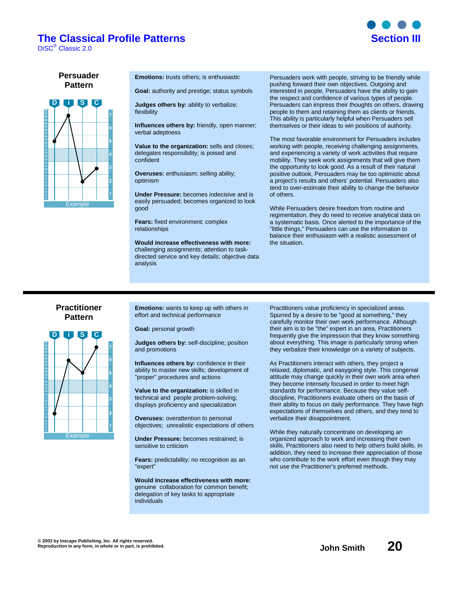### **The Classical Profile Patterns Section III**

DiSC® Classic 2.0



#### **Persuader Pattern**



**Emotions:** trusts others; is enthusiastic

**Goal:** authority and prestige; status symbols

**Judges others by:** ability to verbalize; flexibility

**Influences others by:** friendly, open manner; verbal adeptness

**Value to the organization:** sells and closes; delegates responsibility; is poised and confident

**Overuses:** enthusiasm; selling ability; optimism

**Under Pressure:** becomes indecisive and is easily persuaded; becomes organized to look good

**Fears:** fixed environment; complex relationships

**Would increase effectiveness with more:** challenging assignments; attention to taskdirected service and key details; objective data analysis

Persuaders work with people, striving to be friendly while pushing forward their own objectives. Outgoing and interested in people, Persuaders have the ability to gain the respect and confidence of various types of people. Persuaders can impress their thoughts on others, drawing people to them and retaining them as clients or friends. This ability is particularly helpful when Persuaders sell themselves or their ideas to win positions of authority.

The most favorable environment for Persuaders includes working with people, receiving challenging assignments, and experiencing a variety of work activities that require mobility. They seek work assignments that will give them the opportunity to look good. As a result of their natural positive outlook, Persuaders may be too optimistic about a project's results and others' potential. Persuaders also tend to over-estimate their ability to change the behavior of others.

While Persuaders desire freedom from routine and regimentation, they do need to receive analytical data on a systematic basis. Once alerted to the importance of the "little things," Persuaders can use the information to balance their enthusiasm with a realistic assessment of the situation.

#### **Practitioner Pattern**



**Emotions:** wants to keep up with others in effort and technical performance

**Goal:** personal growth

**Judges others by:** self-discipline; position and promotions

**Influences others by:** confidence in their ability to master new skills; development of "proper" procedures and actions

**Value to the organization:** is skilled in technical and people problem-solving; displays proficiency and specialization

**Overuses:** overattention to personal objectives; unrealistic expectations of others

**Under Pressure:** becomes restrained; is sensitive to criticism

**Fears:** predictability; no recognition as an "expert"

**Would increase effectiveness with more:** genuine collaboration for common benefit; delegation of key tasks to appropriate individuals

Practitioners value proficiency in specialized areas. Spurred by a desire to be "good at something," they carefully monitor their own work performance. Although their aim is to be "the" expert in an area, Practitioners frequently give the impression that they know something about everything. This image is particularly strong when they verbalize their knowledge on a variety of subjects.

As Practitioners interact with others, they project a relaxed, diplomatic, and easygoing style. This congenial attitude may change quickly in their own work area when they become intensely focused in order to meet high standards for performance. Because they value selfdiscipline, Practitioners evaluate others on the basis of their ability to focus on daily performance. They have high expectations of themselves and others, and they tend to verbalize their disappointment.

While they naturally concentrate on developing an organized approach to work and increasing their own skills, Practitioners also need to help others build skills. In addition, they need to increase their appreciation of those who contribute to the work effort even though they may not use the Practitioner's preferred methods.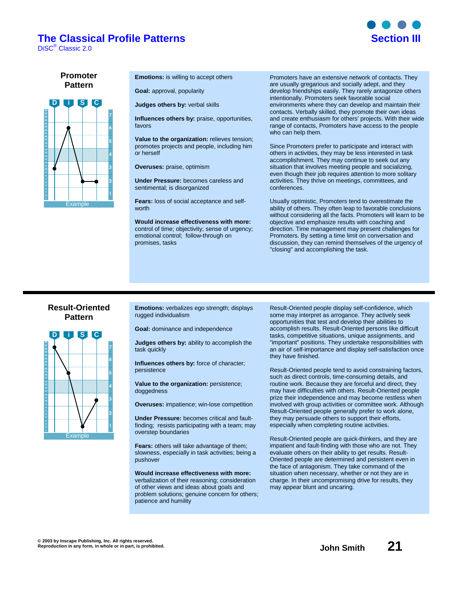### **The Classical Profile Patterns is a section of the Classical Profile Patterns**

DiSC® Classic 2.0



**Promoter Pattern**



**Emotions:** is willing to accept others

**Goal:** approval, popularity

**Judges others by:** verbal skills

**Influences others by:** praise, opportunities, favors

**Value to the organization:** relieves tension; promotes projects and people, including him or herself

**Overuses:** praise, optimism

**Under Pressure:** becomes careless and sentimental; is disorganized

**Fears:** loss of social acceptance and selfworth

**Would increase effectiveness with more:** control of time; objectivity; sense of urgency; emotional control; follow-through on promises, tasks

Promoters have an extensive network of contacts. They are usually gregarious and socially adept, and they develop friendships easily. They rarely antagonize others intentionally. Promoters seek favorable social environments where they can develop and maintain their contacts. Verbally skilled, they promote their own ideas and create enthusiasm for others' projects. With their wide range of contacts, Promoters have access to the people who can help them.

Since Promoters prefer to participate and interact with others in activities, they may be less interested in task accomplishment. They may continue to seek out any situation that involves meeting people and socializing, even though their job requires attention to more solitary activities. They thrive on meetings, committees, and conferences.

Usually optimistic, Promoters tend to overestimate the ability of others. They often leap to favorable conclusions without considering all the facts. Promoters will learn to be objective and emphasize results with coaching and direction. Time management may present challenges for Promoters. By setting a time limit on conversation and discussion, they can remind themselves of the urgency of "closing" and accomplishing the task.

#### **Result-Oriented Pattern**



**Emotions:** verbalizes ego strength; displays rugged individualism

**Goal:** dominance and independence

**Judges others by:** ability to accomplish the task quickly

**Influences others by:** force of character; persistence

**Value to the organization:** persistence; doggedness

**Overuses:** impatience; win-lose competition

**Under Pressure:** becomes critical and faultfinding; resists participating with a team; may overstep boundaries

**Fears:** others will take advantage of them; slowness, especially in task activities; being a pushover

**Would increase effectiveness with more:** verbalization of their reasoning; consideration of other views and ideas about goals and problem solutions; genuine concern for others; patience and humility

Result-Oriented people display self-confidence, which some may interpret as arrogance. They actively seek opportunities that test and develop their abilities to accomplish results. Result-Oriented persons like difficult tasks, competitive situations, unique assignments, and "important" positions. They undertake responsibilities with an air of self-importance and display self-satisfaction once they have finished.

Result-Oriented people tend to avoid constraining factors, such as direct controls, time-consuming details, and routine work. Because they are forceful and direct, they may have difficulties with others. Result-Oriented people prize their independence and may become restless when involved with group activities or committee work. Although Result-Oriented people generally prefer to work alone, they may persuade others to support their efforts, especially when completing routine activities.

Result-Oriented people are quick-thinkers, and they are impatient and fault-finding with those who are not. They evaluate others on their ability to get results. Result-Oriented people are determined and persistent even in the face of antagonism. They take command of the situation when necessary, whether or not they are in charge. In their uncompromising drive for results, they may appear blunt and uncaring.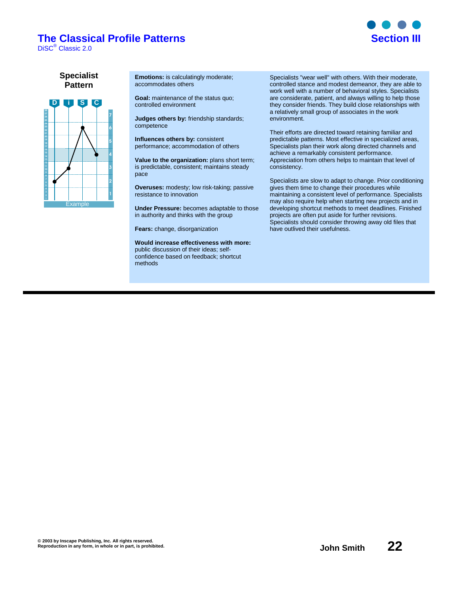# **The Classical Profile Patterns Section III**

DiSC® Classic 2.0



**Specialist Pattern**



**Emotions:** is calculatingly moderate; accommodates others

**Goal:** maintenance of the status quo; controlled environment

**Judges others by:** friendship standards; competence

**Influences others by:** consistent performance; accommodation of others

**Value to the organization:** plans short term; is predictable, consistent; maintains steady pace

**Overuses:** modesty; low risk-taking; passive resistance to innovation

**Under Pressure:** becomes adaptable to those in authority and thinks with the group

**Fears:** change, disorganization

**Would increase effectiveness with more:** public discussion of their ideas; selfconfidence based on feedback; shortcut methods

Specialists "wear well" with others. With their moderate, controlled stance and modest demeanor, they are able to work well with a number of behavioral styles. Specialists are considerate, patient, and always willing to help those they consider friends. They build close relationships with a relatively small group of associates in the work environment.

Their efforts are directed toward retaining familiar and predictable patterns. Most effective in specialized areas, Specialists plan their work along directed channels and achieve a remarkably consistent performance. Appreciation from others helps to maintain that level of consistency.

Specialists are slow to adapt to change. Prior conditioning gives them time to change their procedures while maintaining a consistent level of performance. Specialists may also require help when starting new projects and in developing shortcut methods to meet deadlines. Finished projects are often put aside for further revisions. Specialists should consider throwing away old files that have outlived their usefulness.